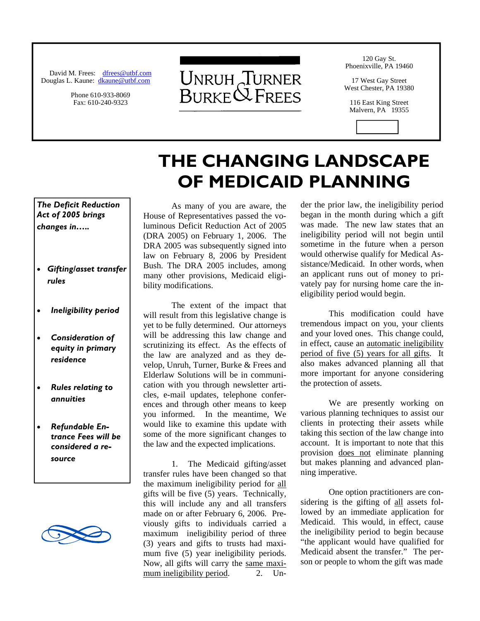David M. Frees: dfrees@utbf.com Douglas L. Kaune: dkaune@utbf.com

> Phone 610-933-8069 Fax: 610-240-9323



**THE CHANGING LANDSCAPE** 

**OF MEDICAID PLANNING** 

120 Gay St. Phoenixville, PA 19460

17 West Gay Street West Chester, PA 19380

116 East King Street Malvern, PA 19355

*The Deficit Reduction Act of 2005 brings changes in…..* 

- *Gifting/asset transfer rules*
- *Ineligibility period*
- *Consideration of equity in primary residence*
- *Rules relating to annuities*
- *Refundable Entrance Fees will be considered a resource*



 As many of you are aware, the House of Representatives passed the voluminous Deficit Reduction Act of 2005 (DRA 2005) on February 1, 2006. The DRA 2005 was subsequently signed into law on February 8, 2006 by President Bush. The DRA 2005 includes, among many other provisions, Medicaid eligibility modifications.

 The extent of the impact that will result from this legislative change is yet to be fully determined. Our attorneys will be addressing this law change and scrutinizing its effect. As the effects of the law are analyzed and as they develop, Unruh, Turner, Burke & Frees and Elderlaw Solutions will be in communication with you through newsletter articles, e-mail updates, telephone conferences and through other means to keep you informed. In the meantime, We would like to examine this update with some of the more significant changes to the law and the expected implications.

 1. The Medicaid gifting/asset transfer rules have been changed so that the maximum ineligibility period for all gifts will be five (5) years. Technically, this will include any and all transfers made on or after February 6, 2006. Previously gifts to individuals carried a maximum ineligibility period of three (3) years and gifts to trusts had maximum five  $(5)$  year ineligibility periods. Now, all gifts will carry the same maximum ineligibility period. 2. Under the prior law, the ineligibility period began in the month during which a gift was made. The new law states that an ineligibility period will not begin until sometime in the future when a person would otherwise qualify for Medical Assistance/Medicaid. In other words, when an applicant runs out of money to privately pay for nursing home care the ineligibility period would begin.

 This modification could have tremendous impact on you, your clients and your loved ones. This change could, in effect, cause an automatic ineligibility period of five (5) years for all gifts. It also makes advanced planning all that more important for anyone considering the protection of assets.

 We are presently working on various planning techniques to assist our clients in protecting their assets while taking this section of the law change into account. It is important to note that this provision does not eliminate planning but makes planning and advanced planning imperative.

 One option practitioners are considering is the gifting of all assets followed by an immediate application for Medicaid. This would, in effect, cause the ineligibility period to begin because "the applicant would have qualified for Medicaid absent the transfer." The person or people to whom the gift was made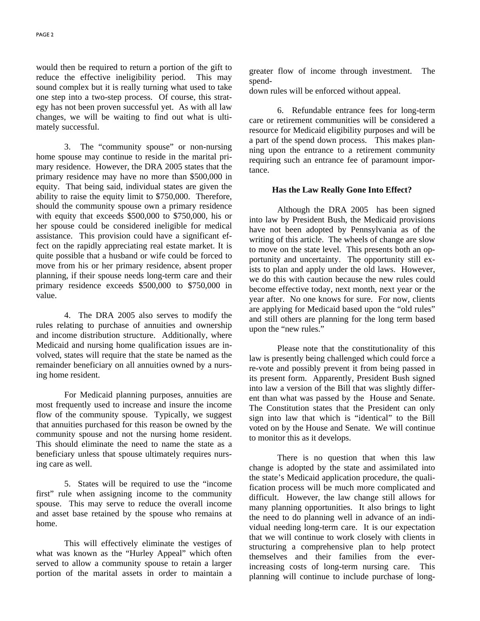would then be required to return a portion of the gift to reduce the effective ineligibility period. This may sound complex but it is really turning what used to take one step into a two-step process. Of course, this strategy has not been proven successful yet. As with all law changes, we will be waiting to find out what is ultimately successful.

 3. The "community spouse" or non-nursing home spouse may continue to reside in the marital primary residence. However, the DRA 2005 states that the primary residence may have no more than \$500,000 in equity. That being said, individual states are given the ability to raise the equity limit to \$750,000. Therefore, should the community spouse own a primary residence with equity that exceeds \$500,000 to \$750,000, his or her spouse could be considered ineligible for medical assistance. This provision could have a significant effect on the rapidly appreciating real estate market. It is quite possible that a husband or wife could be forced to move from his or her primary residence, absent proper planning, if their spouse needs long-term care and their primary residence exceeds \$500,000 to \$750,000 in value.

 4. The DRA 2005 also serves to modify the rules relating to purchase of annuities and ownership and income distribution structure. Additionally, where Medicaid and nursing home qualification issues are involved, states will require that the state be named as the remainder beneficiary on all annuities owned by a nursing home resident.

 For Medicaid planning purposes, annuities are most frequently used to increase and insure the income flow of the community spouse. Typically, we suggest that annuities purchased for this reason be owned by the community spouse and not the nursing home resident. This should eliminate the need to name the state as a beneficiary unless that spouse ultimately requires nursing care as well.

 5. States will be required to use the "income first" rule when assigning income to the community spouse. This may serve to reduce the overall income and asset base retained by the spouse who remains at home.

 This will effectively eliminate the vestiges of what was known as the "Hurley Appeal" which often served to allow a community spouse to retain a larger portion of the marital assets in order to maintain a greater flow of income through investment. The spend-

down rules will be enforced without appeal.

 6. Refundable entrance fees for long-term care or retirement communities will be considered a resource for Medicaid eligibility purposes and will be a part of the spend down process. This makes planning upon the entrance to a retirement community requiring such an entrance fee of paramount importance.

## **Has the Law Really Gone Into Effect?**

 Although the DRA 2005 has been signed into law by President Bush, the Medicaid provisions have not been adopted by Pennsylvania as of the writing of this article. The wheels of change are slow to move on the state level. This presents both an opportunity and uncertainty. The opportunity still exists to plan and apply under the old laws. However, we do this with caution because the new rules could become effective today, next month, next year or the year after. No one knows for sure. For now, clients are applying for Medicaid based upon the "old rules" and still others are planning for the long term based upon the "new rules."

 Please note that the constitutionality of this law is presently being challenged which could force a re-vote and possibly prevent it from being passed in its present form. Apparently, President Bush signed into law a version of the Bill that was slightly different than what was passed by the House and Senate. The Constitution states that the President can only sign into law that which is "identical" to the Bill voted on by the House and Senate. We will continue to monitor this as it develops.

 There is no question that when this law change is adopted by the state and assimilated into the state's Medicaid application procedure, the qualification process will be much more complicated and difficult. However, the law change still allows for many planning opportunities. It also brings to light the need to do planning well in advance of an individual needing long-term care. It is our expectation that we will continue to work closely with clients in structuring a comprehensive plan to help protect themselves and their families from the everincreasing costs of long-term nursing care. This planning will continue to include purchase of long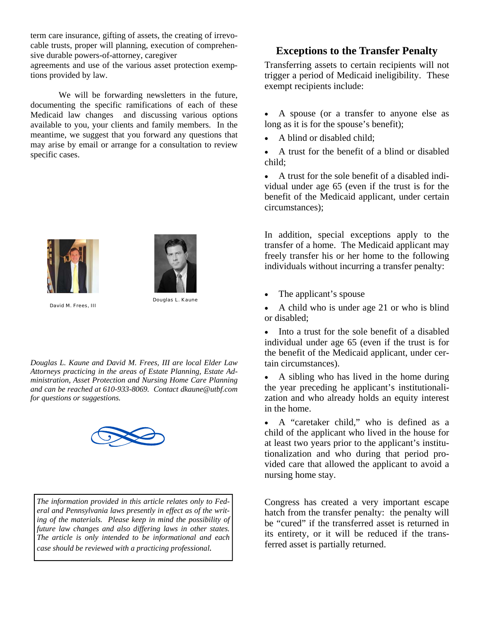term care insurance, gifting of assets, the creating of irrevocable trusts, proper will planning, execution of comprehensive durable powers-of-attorney, caregiver

agreements and use of the various asset protection exemptions provided by law.

 We will be forwarding newsletters in the future, documenting the specific ramifications of each of these Medicaid law changes and discussing various options available to you, your clients and family members. In the meantime, we suggest that you forward any questions that may arise by email or arrange for a consultation to review specific cases.





David M. Frees, III

*for questions or suggestions.* 

*Douglas L. Kaune and David M. Frees, III are local Elder Law Attorneys practicing in the areas of Estate Planning, Estate Administration, Asset Protection and Nursing Home Care Planning and can be reached at 610-933-8069. Contact dkaune@utbf.com* 



*The information provided in this article relates only to Federal and Pennsylvania laws presently in effect as of the writing of the materials. Please keep in mind the possibility of future law changes and also differing laws in other states. The article is only intended to be informational and each case should be reviewed with a practicing professional.*

## **Exceptions to the Transfer Penalty**

Transferring assets to certain recipients will not trigger a period of Medicaid ineligibility. These exempt recipients include:

- A spouse (or a transfer to anyone else as long as it is for the spouse's benefit);
- A blind or disabled child;
- A trust for the benefit of a blind or disabled child;

• A trust for the sole benefit of a disabled individual under age 65 (even if the trust is for the benefit of the Medicaid applicant, under certain circumstances);

In addition, special exceptions apply to the transfer of a home. The Medicaid applicant may freely transfer his or her home to the following individuals without incurring a transfer penalty:

- The applicant's spouse
- A child who is under age 21 or who is blind or disabled;
- Into a trust for the sole benefit of a disabled individual under age 65 (even if the trust is for the benefit of the Medicaid applicant, under certain circumstances).
- A sibling who has lived in the home during the year preceding he applicant's institutionalization and who already holds an equity interest in the home.
- A "caretaker child," who is defined as a child of the applicant who lived in the house for at least two years prior to the applicant's institutionalization and who during that period provided care that allowed the applicant to avoid a nursing home stay.

Congress has created a very important escape hatch from the transfer penalty: the penalty will be "cured" if the transferred asset is returned in its entirety, or it will be reduced if the transferred asset is partially returned.